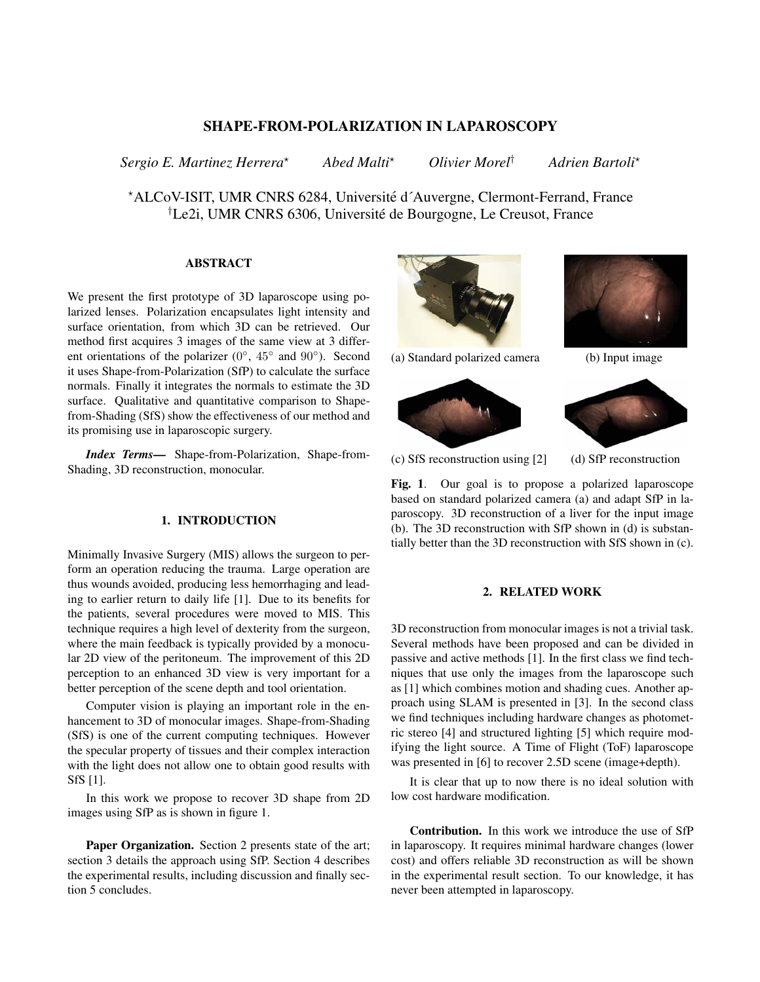# SHAPE-FROM-POLARIZATION IN LAPAROSCOPY

*Sergio E. Martinez Herrera*? *Abed Malti*? *Olivier Morel*† *Adrien Bartoli*?

\*ALCoV-ISIT, UMR CNRS 6284, Université d'Auvergne, Clermont-Ferrand, France †Le2i, UMR CNRS 6306, Universite de Bourgogne, Le Creusot, France ´

## ABSTRACT

We present the first prototype of 3D laparoscope using polarized lenses. Polarization encapsulates light intensity and surface orientation, from which 3D can be retrieved. Our method first acquires 3 images of the same view at 3 different orientations of the polarizer  $(0^{\circ}, 45^{\circ}$  and  $90^{\circ})$ . Second it uses Shape-from-Polarization (SfP) to calculate the surface normals. Finally it integrates the normals to estimate the 3D surface. Qualitative and quantitative comparison to Shapefrom-Shading (SfS) show the effectiveness of our method and its promising use in laparoscopic surgery.

*Index Terms*— Shape-from-Polarization, Shape-from-Shading, 3D reconstruction, monocular.

## 1. INTRODUCTION

Minimally Invasive Surgery (MIS) allows the surgeon to perform an operation reducing the trauma. Large operation are thus wounds avoided, producing less hemorrhaging and leading to earlier return to daily life [1]. Due to its benefits for the patients, several procedures were moved to MIS. This technique requires a high level of dexterity from the surgeon, where the main feedback is typically provided by a monocular 2D view of the peritoneum. The improvement of this 2D perception to an enhanced 3D view is very important for a better perception of the scene depth and tool orientation.

Computer vision is playing an important role in the enhancement to 3D of monocular images. Shape-from-Shading (SfS) is one of the current computing techniques. However the specular property of tissues and their complex interaction with the light does not allow one to obtain good results with SfS [1].

In this work we propose to recover 3D shape from 2D images using SfP as is shown in figure 1.

Paper Organization. Section 2 presents state of the art; section 3 details the approach using SfP. Section 4 describes the experimental results, including discussion and finally section 5 concludes.











(c) SfS reconstruction using [2] (d) SfP reconstruction

Fig. 1. Our goal is to propose a polarized laparoscope based on standard polarized camera (a) and adapt SfP in laparoscopy. 3D reconstruction of a liver for the input image (b). The 3D reconstruction with SfP shown in (d) is substantially better than the 3D reconstruction with SfS shown in (c).

#### 2. RELATED WORK

3D reconstruction from monocular images is not a trivial task. Several methods have been proposed and can be divided in passive and active methods [1]. In the first class we find techniques that use only the images from the laparoscope such as [1] which combines motion and shading cues. Another approach using SLAM is presented in [3]. In the second class we find techniques including hardware changes as photometric stereo [4] and structured lighting [5] which require modifying the light source. A Time of Flight (ToF) laparoscope was presented in [6] to recover 2.5D scene (image+depth).

It is clear that up to now there is no ideal solution with low cost hardware modification.

Contribution. In this work we introduce the use of SfP in laparoscopy. It requires minimal hardware changes (lower cost) and offers reliable 3D reconstruction as will be shown in the experimental result section. To our knowledge, it has never been attempted in laparoscopy.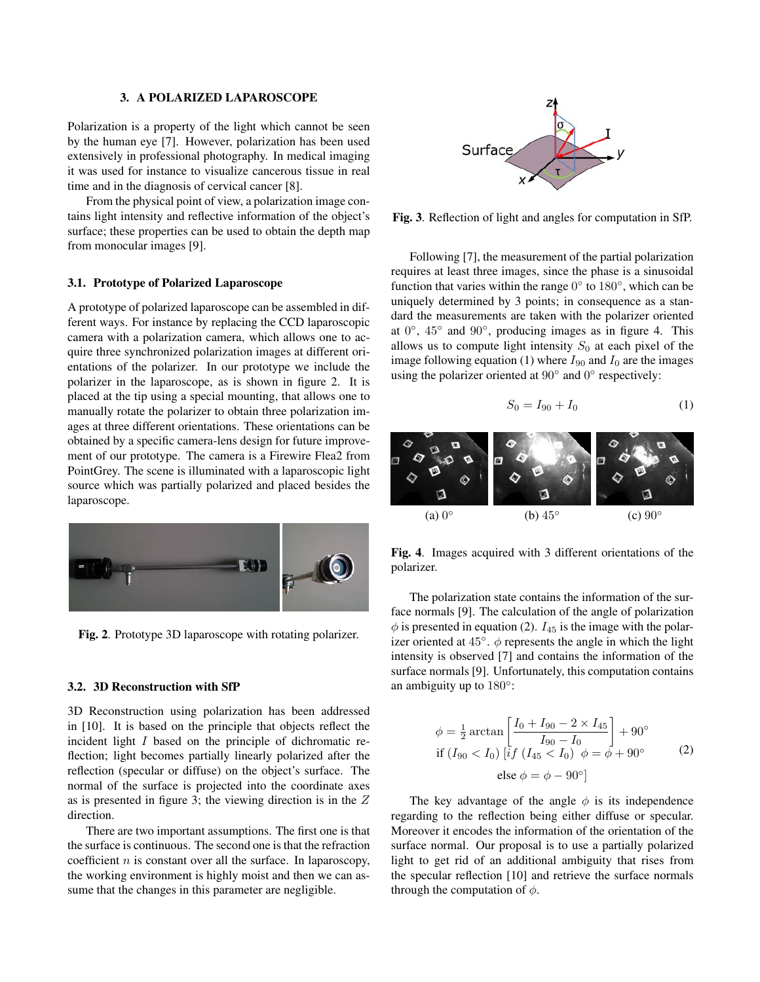#### 3. A POLARIZED LAPAROSCOPE

Polarization is a property of the light which cannot be seen by the human eye [7]. However, polarization has been used extensively in professional photography. In medical imaging it was used for instance to visualize cancerous tissue in real time and in the diagnosis of cervical cancer [8].

From the physical point of view, a polarization image contains light intensity and reflective information of the object's surface; these properties can be used to obtain the depth map from monocular images [9].

#### 3.1. Prototype of Polarized Laparoscope

A prototype of polarized laparoscope can be assembled in different ways. For instance by replacing the CCD laparoscopic camera with a polarization camera, which allows one to acquire three synchronized polarization images at different orientations of the polarizer. In our prototype we include the polarizer in the laparoscope, as is shown in figure 2. It is placed at the tip using a special mounting, that allows one to manually rotate the polarizer to obtain three polarization images at three different orientations. These orientations can be obtained by a specific camera-lens design for future improvement of our prototype. The camera is a Firewire Flea2 from PointGrey. The scene is illuminated with a laparoscopic light source which was partially polarized and placed besides the laparoscope.



Fig. 2. Prototype 3D laparoscope with rotating polarizer.

#### 3.2. 3D Reconstruction with SfP

3D Reconstruction using polarization has been addressed in [10]. It is based on the principle that objects reflect the incident light I based on the principle of dichromatic reflection; light becomes partially linearly polarized after the reflection (specular or diffuse) on the object's surface. The normal of the surface is projected into the coordinate axes as is presented in figure 3; the viewing direction is in the Z direction.

There are two important assumptions. The first one is that the surface is continuous. The second one is that the refraction coefficient  $n$  is constant over all the surface. In laparoscopy, the working environment is highly moist and then we can assume that the changes in this parameter are negligible.



Fig. 3. Reflection of light and angles for computation in SfP.

Following [7], the measurement of the partial polarization requires at least three images, since the phase is a sinusoidal function that varies within the range  $0^{\circ}$  to  $180^{\circ}$ , which can be uniquely determined by 3 points; in consequence as a standard the measurements are taken with the polarizer oriented at  $0^\circ$ ,  $45^\circ$  and  $90^\circ$ , producing images as in figure 4. This allows us to compute light intensity  $S_0$  at each pixel of the image following equation (1) where  $I_{90}$  and  $I_0$  are the images using the polarizer oriented at  $90^\circ$  and  $0^\circ$  respectively:

$$
S_0 = I_{90} + I_0 \tag{1}
$$



Fig. 4. Images acquired with 3 different orientations of the polarizer.

The polarization state contains the information of the surface normals [9]. The calculation of the angle of polarization  $\phi$  is presented in equation (2).  $I_{45}$  is the image with the polarizer oriented at  $45^\circ$ .  $\phi$  represents the angle in which the light intensity is observed [7] and contains the information of the surface normals [9]. Unfortunately, this computation contains an ambiguity up to 180°:

$$
\phi = \frac{1}{2} \arctan \left[ \frac{I_0 + I_{90} - 2 \times I_{45}}{I_{90} - I_0} \right] + 90^{\circ}
$$
  
if  $(I_{90} < I_0)$  [*if*  $(I_{45} < I_0)$   $\phi = \phi + 90^{\circ}$  (2)  
else  $\phi = \phi - 90^{\circ}$ ]

The key advantage of the angle  $\phi$  is its independence regarding to the reflection being either diffuse or specular. Moreover it encodes the information of the orientation of the surface normal. Our proposal is to use a partially polarized light to get rid of an additional ambiguity that rises from the specular reflection [10] and retrieve the surface normals through the computation of  $\phi$ .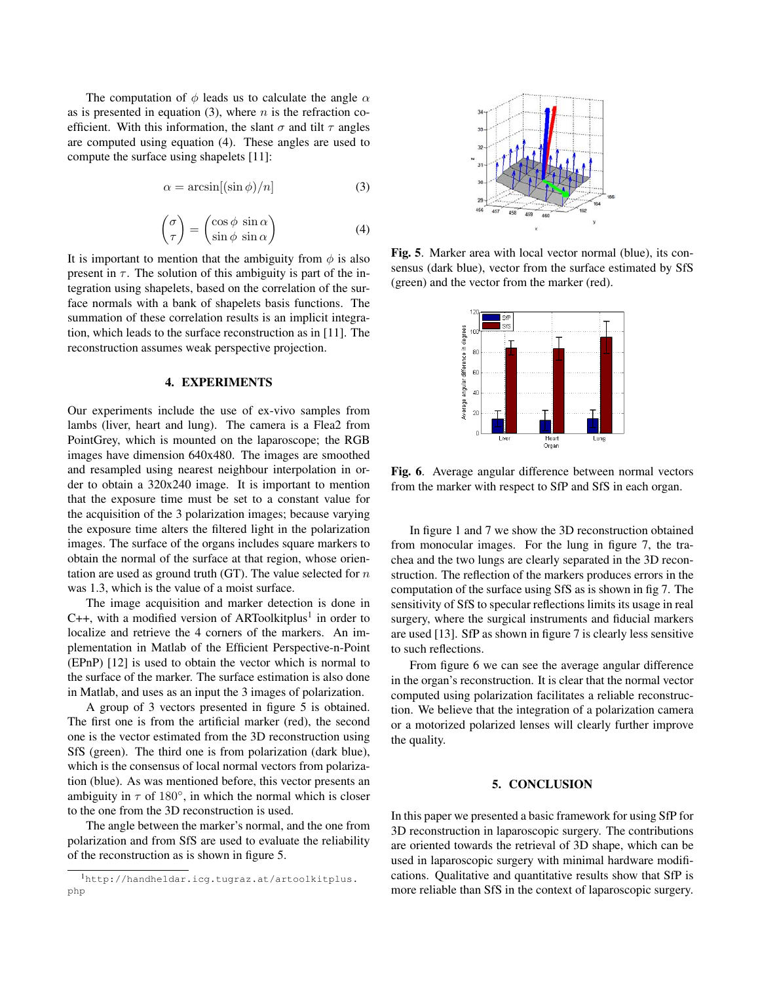The computation of  $\phi$  leads us to calculate the angle  $\alpha$ as is presented in equation (3), where  $n$  is the refraction coefficient. With this information, the slant  $\sigma$  and tilt  $\tau$  angles are computed using equation (4). These angles are used to compute the surface using shapelets [11]:

$$
\alpha = \arcsin[(\sin \phi)/n] \tag{3}
$$

$$
\begin{pmatrix} \sigma \\ \tau \end{pmatrix} = \begin{pmatrix} \cos \phi & \sin \alpha \\ \sin \phi & \sin \alpha \end{pmatrix}
$$
 (4)

It is important to mention that the ambiguity from  $\phi$  is also present in  $\tau$ . The solution of this ambiguity is part of the integration using shapelets, based on the correlation of the surface normals with a bank of shapelets basis functions. The summation of these correlation results is an implicit integration, which leads to the surface reconstruction as in [11]. The reconstruction assumes weak perspective projection.

#### 4. EXPERIMENTS

Our experiments include the use of ex-vivo samples from lambs (liver, heart and lung). The camera is a Flea2 from PointGrey, which is mounted on the laparoscope; the RGB images have dimension 640x480. The images are smoothed and resampled using nearest neighbour interpolation in order to obtain a 320x240 image. It is important to mention that the exposure time must be set to a constant value for the acquisition of the 3 polarization images; because varying the exposure time alters the filtered light in the polarization images. The surface of the organs includes square markers to obtain the normal of the surface at that region, whose orientation are used as ground truth (GT). The value selected for  $n$ was 1.3, which is the value of a moist surface.

The image acquisition and marker detection is done in C++, with a modified version of ARToolkitplus<sup>1</sup> in order to localize and retrieve the 4 corners of the markers. An implementation in Matlab of the Efficient Perspective-n-Point (EPnP) [12] is used to obtain the vector which is normal to the surface of the marker. The surface estimation is also done in Matlab, and uses as an input the 3 images of polarization.

A group of 3 vectors presented in figure 5 is obtained. The first one is from the artificial marker (red), the second one is the vector estimated from the 3D reconstruction using SfS (green). The third one is from polarization (dark blue), which is the consensus of local normal vectors from polarization (blue). As was mentioned before, this vector presents an ambiguity in  $\tau$  of 180 $^{\circ}$ , in which the normal which is closer to the one from the 3D reconstruction is used.

The angle between the marker's normal, and the one from polarization and from SfS are used to evaluate the reliability of the reconstruction as is shown in figure 5.



Fig. 5. Marker area with local vector normal (blue), its consensus (dark blue), vector from the surface estimated by SfS (green) and the vector from the marker (red).



Fig. 6. Average angular difference between normal vectors from the marker with respect to SfP and SfS in each organ.

In figure 1 and 7 we show the 3D reconstruction obtained from monocular images. For the lung in figure 7, the trachea and the two lungs are clearly separated in the 3D reconstruction. The reflection of the markers produces errors in the computation of the surface using SfS as is shown in fig 7. The sensitivity of SfS to specular reflections limits its usage in real surgery, where the surgical instruments and fiducial markers are used [13]. SfP as shown in figure 7 is clearly less sensitive to such reflections.

From figure 6 we can see the average angular difference in the organ's reconstruction. It is clear that the normal vector computed using polarization facilitates a reliable reconstruction. We believe that the integration of a polarization camera or a motorized polarized lenses will clearly further improve the quality.

### 5. CONCLUSION

In this paper we presented a basic framework for using SfP for 3D reconstruction in laparoscopic surgery. The contributions are oriented towards the retrieval of 3D shape, which can be used in laparoscopic surgery with minimal hardware modifications. Qualitative and quantitative results show that SfP is more reliable than SfS in the context of laparoscopic surgery.

<sup>1</sup>http://handheldar.icg.tugraz.at/artoolkitplus. php